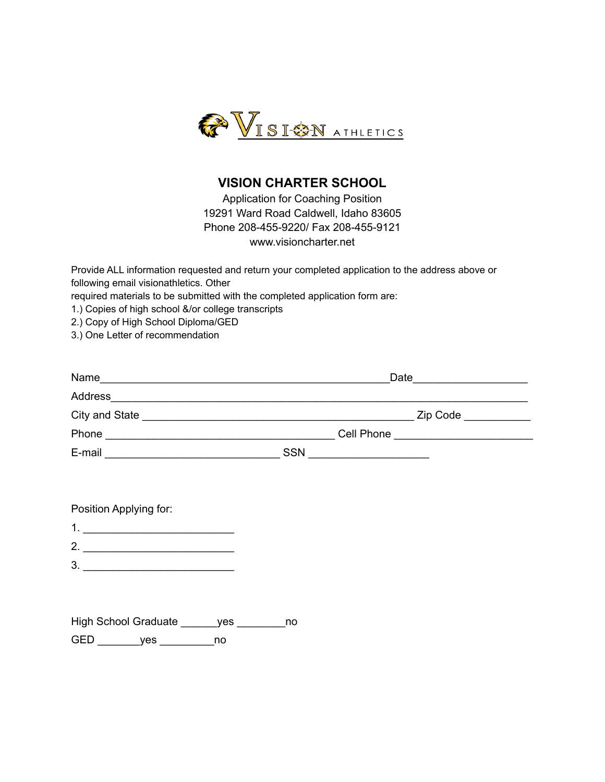

## **VISION CHARTER SCHOOL**

Application for Coaching Position 19291 Ward Road Caldwell, Idaho 83605 Phone 208-455-9220/ Fax 208-455-9121 www.visioncharter.net

Provide ALL information requested and return your completed application to the address above or following email visionathletics. Other

required materials to be submitted with the completed application form are:

1.) Copies of high school &/or college transcripts

2.) Copy of High School Diploma/GED

3.) One Letter of recommendation

| Name           | Date       |  |  |  |  |
|----------------|------------|--|--|--|--|
| Address        |            |  |  |  |  |
| City and State | Zip Code   |  |  |  |  |
| Phone          | Cell Phone |  |  |  |  |
| E-mail         | <b>SSN</b> |  |  |  |  |

|  | Position Applying for: |  |
|--|------------------------|--|
|--|------------------------|--|

- 2. \_\_\_\_\_\_\_\_\_\_\_\_\_\_\_\_\_\_\_\_\_\_\_\_\_
- 3. \_\_\_\_\_\_\_\_\_\_\_\_\_\_\_\_\_\_\_\_\_\_\_\_\_

High School Graduate \_\_\_\_\_\_ yes \_\_\_\_\_\_\_ no GED \_\_\_\_\_\_\_\_yes \_\_\_\_\_\_\_\_\_\_ no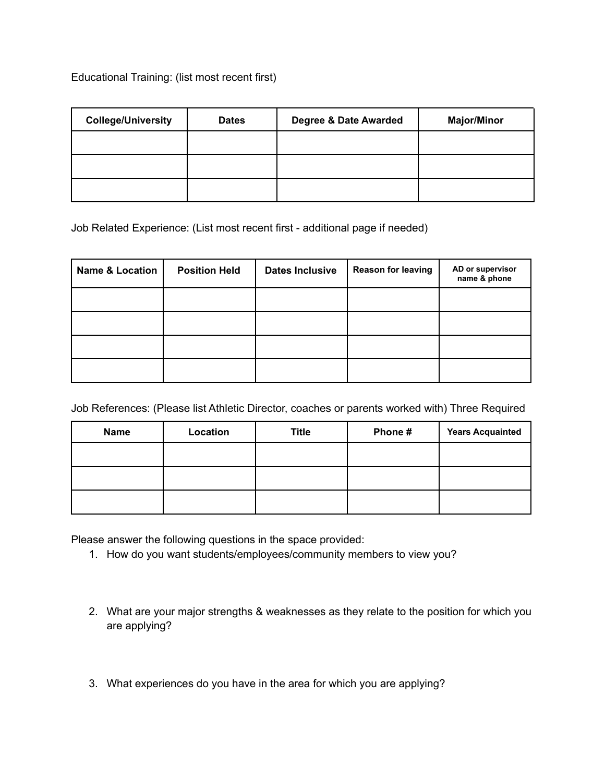Educational Training: (list most recent first)

| <b>College/University</b> | <b>Dates</b> | Degree & Date Awarded | <b>Major/Minor</b> |
|---------------------------|--------------|-----------------------|--------------------|
|                           |              |                       |                    |
|                           |              |                       |                    |
|                           |              |                       |                    |

Job Related Experience: (List most recent first - additional page if needed)

| <b>Name &amp; Location</b> | <b>Position Held</b> | <b>Dates Inclusive</b> | <b>Reason for leaving</b> | AD or supervisor<br>name & phone |
|----------------------------|----------------------|------------------------|---------------------------|----------------------------------|
|                            |                      |                        |                           |                                  |
|                            |                      |                        |                           |                                  |
|                            |                      |                        |                           |                                  |
|                            |                      |                        |                           |                                  |

Job References: (Please list Athletic Director, coaches or parents worked with) Three Required

| <b>Name</b> | Location | <b>Title</b> | Phone# | <b>Years Acquainted</b> |
|-------------|----------|--------------|--------|-------------------------|
|             |          |              |        |                         |
|             |          |              |        |                         |
|             |          |              |        |                         |

Please answer the following questions in the space provided:

- 1. How do you want students/employees/community members to view you?
- 2. What are your major strengths & weaknesses as they relate to the position for which you are applying?
- 3. What experiences do you have in the area for which you are applying?